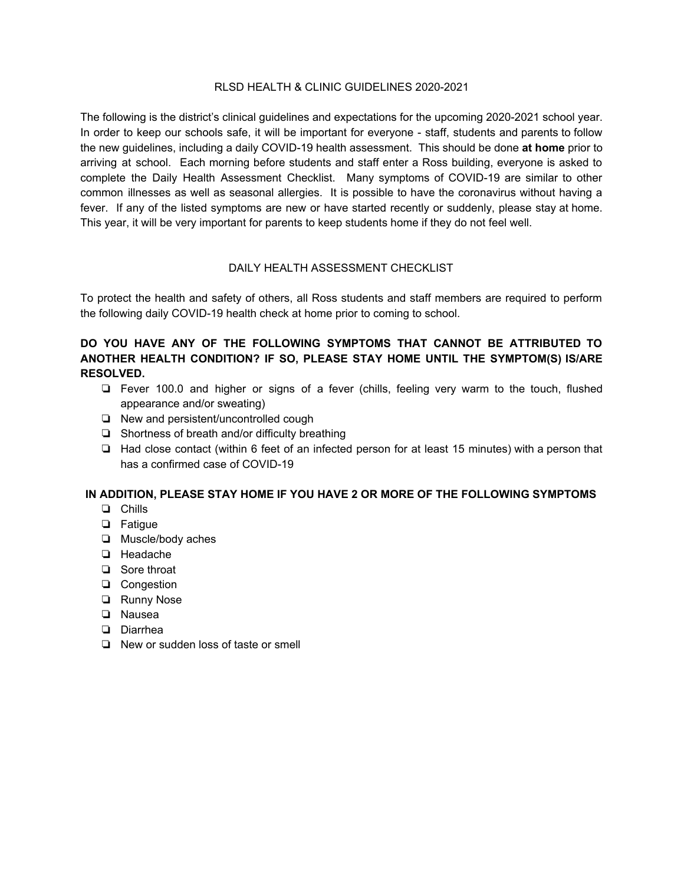#### RLSD HEALTH & CLINIC GUIDELINES 2020-2021

The following is the district's clinical guidelines and expectations for the upcoming 2020-2021 school year. In order to keep our schools safe, it will be important for everyone - staff, students and parents to follow the new guidelines, including a daily COVID-19 health assessment. This should be done **at home** prior to arriving at school. Each morning before students and staff enter a Ross building, everyone is asked to complete the Daily Health Assessment Checklist. Many symptoms of COVID-19 are similar to other common illnesses as well as seasonal allergies. It is possible to have the coronavirus without having a fever. If any of the listed symptoms are new or have started recently or suddenly, please stay at home. This year, it will be very important for parents to keep students home if they do not feel well.

#### DAILY HEALTH ASSESSMENT CHECKLIST

To protect the health and safety of others, all Ross students and staff members are required to perform the following daily COVID-19 health check at home prior to coming to school.

# **DO YOU HAVE ANY OF THE FOLLOWING SYMPTOMS THAT CANNOT BE ATTRIBUTED TO ANOTHER HEALTH CONDITION? IF SO, PLEASE STAY HOME UNTIL THE SYMPTOM(S) IS/ARE RESOLVED.**

- ❏ Fever 100.0 and higher or signs of a fever (chills, feeling very warm to the touch, flushed appearance and/or sweating)
- ❏ New and persistent/uncontrolled cough
- ❏ Shortness of breath and/or difficulty breathing
- ❏ Had close contact (within 6 feet of an infected person for at least 15 minutes) with a person that has a confirmed case of COVID-19

### **IN ADDITION, PLEASE STAY HOME IF YOU HAVE 2 OR MORE OF THE FOLLOWING SYMPTOMS**

- ❏ Chills
- ❏ Fatigue
- ❏ Muscle/body aches
- ❏ Headache
- ❏ Sore throat
- ❏ Congestion
- ❏ Runny Nose
- ❏ Nausea
- ❏ Diarrhea
- ❏ New or sudden loss of taste or smell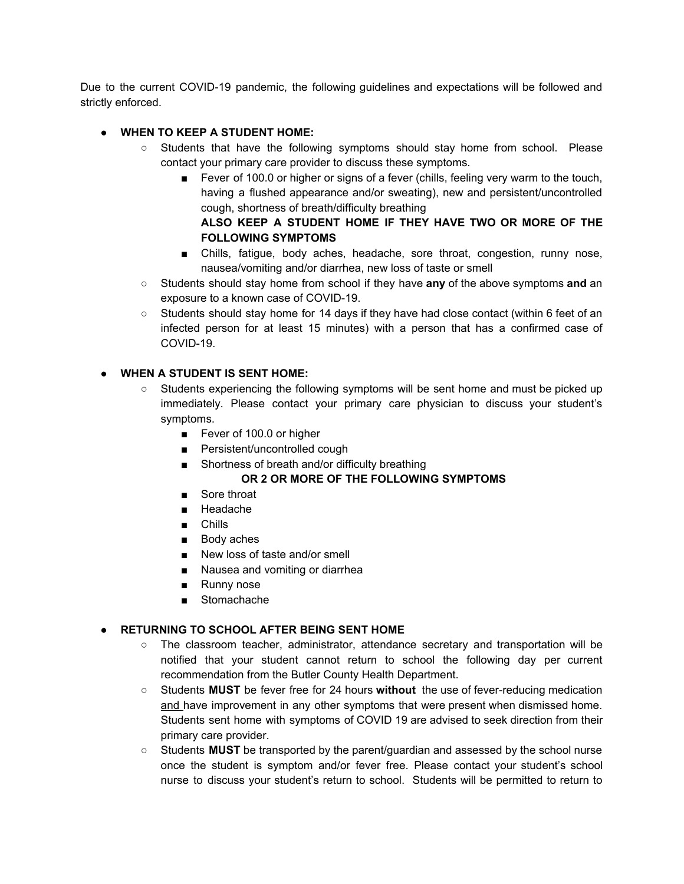Due to the current COVID-19 pandemic, the following guidelines and expectations will be followed and strictly enforced.

# **● WHEN TO KEEP A STUDENT HOME:**

- **○** Students that have the following symptoms should stay home from school. Please contact your primary care provider to discuss these symptoms.
	- Fever of 100.0 or higher or signs of a fever (chills, feeling very warm to the touch, having a flushed appearance and/or sweating), new and persistent/uncontrolled cough, shortness of breath/difficulty breathing

### **ALSO KEEP A STUDENT HOME IF THEY HAVE TWO OR MORE OF THE FOLLOWING SYMPTOMS**

- Chills, fatigue, body aches, headache, sore throat, congestion, runny nose, nausea/vomiting and/or diarrhea, new loss of taste or smell
- Students should stay home from school if they have **any** of the above symptoms **and** an exposure to a known case of COVID-19.
- Students should stay home for 14 days if they have had close contact (within 6 feet of an infected person for at least 15 minutes) with a person that has a confirmed case of COVID-19.

## **● WHEN A STUDENT IS SENT HOME:**

- Students experiencing the following symptoms will be sent home and must be picked up immediately. Please contact your primary care physician to discuss your student's symptoms.
	- Fever of 100.0 or higher
	- Persistent/uncontrolled cough
	- Shortness of breath and/or difficulty breathing

# **OR 2 OR MORE OF THE FOLLOWING SYMPTOMS**

- Sore throat
- Headache
- Chills
- Body aches
- New loss of taste and/or smell
- Nausea and vomiting or diarrhea
- Runny nose
- Stomachache

### **● RETURNING TO SCHOOL AFTER BEING SENT HOME**

- The classroom teacher, administrator, attendance secretary and transportation will be notified that your student cannot return to school the following day per current recommendation from the Butler County Health Department.
- Students **MUST** be fever free for 24 hours **without** the use of fever-reducing medication and have improvement in any other symptoms that were present when dismissed home. Students sent home with symptoms of COVID 19 are advised to seek direction from their primary care provider.
- Students **MUST** be transported by the parent/guardian and assessed by the school nurse once the student is symptom and/or fever free. Please contact your student's school nurse to discuss your student's return to school. Students will be permitted to return to